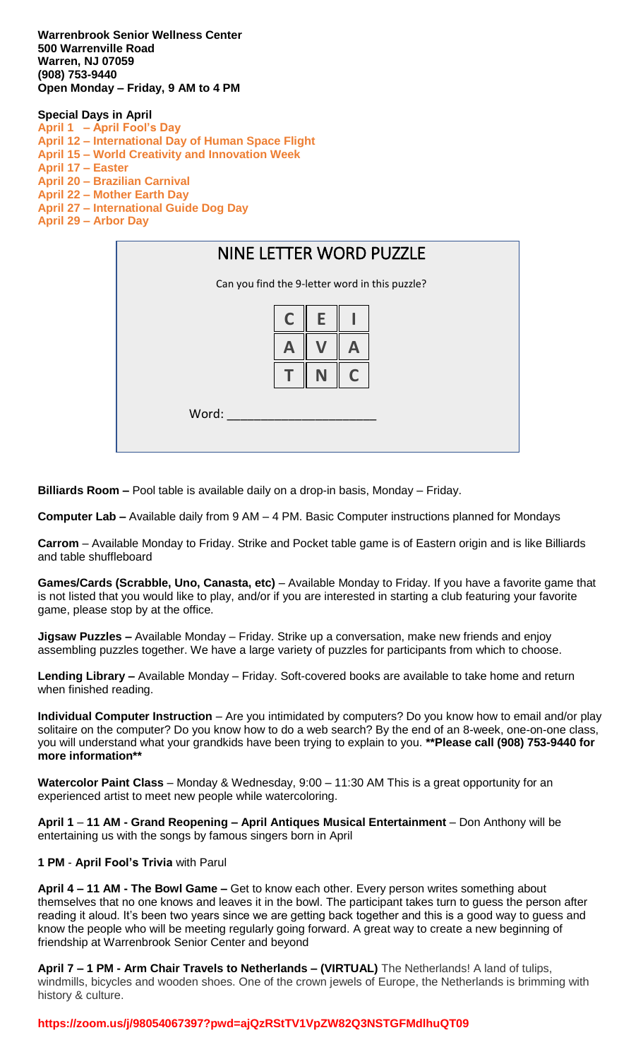**Warrenbrook Senior Wellness Center 500 Warrenville Road Warren, NJ 07059 (908) 753-9440 Open Monday – Friday, 9 AM to 4 PM** 

## **Special Days in April**

**April 1 – April Fool's Day April 12 – International Day of Human Space Flight April 15 – World Creativity and Innovation Week April 17 – Easter April 20 – Brazilian Carnival April 22 – Mother Earth Day April 27 – International Guide Dog Day April 29 – Arbor Day**



**Billiards Room –** Pool table is available daily on a drop-in basis, Monday – Friday.

**Computer Lab –** Available daily from 9 AM – 4 PM. Basic Computer instructions planned for Mondays

**Carrom** – Available Monday to Friday. Strike and Pocket table game is of Eastern origin and is like Billiards and table shuffleboard

**Games/Cards (Scrabble, Uno, Canasta, etc)** – Available Monday to Friday. If you have a favorite game that is not listed that you would like to play, and/or if you are interested in starting a club featuring your favorite game, please stop by at the office.

**Jigsaw Puzzles –** Available Monday – Friday. Strike up a conversation, make new friends and enjoy assembling puzzles together. We have a large variety of puzzles for participants from which to choose.

**Lending Library –** Available Monday – Friday. Soft-covered books are available to take home and return when finished reading.

**Individual Computer Instruction** – Are you intimidated by computers? Do you know how to email and/or play solitaire on the computer? Do you know how to do a web search? By the end of an 8-week, one-on-one class, you will understand what your grandkids have been trying to explain to you. **\*\*Please call (908) 753-9440 for more information\*\***

**Watercolor Paint Class** – Monday & Wednesday, 9:00 – 11:30 AM This is a great opportunity for an experienced artist to meet new people while watercoloring.

**April 1** – **11 AM - Grand Reopening – April Antiques Musical Entertainment** – Don Anthony will be entertaining us with the songs by famous singers born in April

## **1 PM** - **April Fool's Trivia** with Parul

**April 4 – 11 AM - The Bowl Game –** Get to know each other. Every person writes something about themselves that no one knows and leaves it in the bowl. The participant takes turn to guess the person after reading it aloud. It's been two years since we are getting back together and this is a good way to guess and know the people who will be meeting regularly going forward. A great way to create a new beginning of friendship at Warrenbrook Senior Center and beyond

**April 7 – 1 PM - Arm Chair Travels to Netherlands – (VIRTUAL)** The Netherlands! A land of tulips, windmills, bicycles and wooden shoes. One of the crown jewels of Europe, the Netherlands is brimming with history & culture.

## **https://zoom.us/j/98054067397?pwd=ajQzRStTV1VpZW82Q3NSTGFMdlhuQT09**